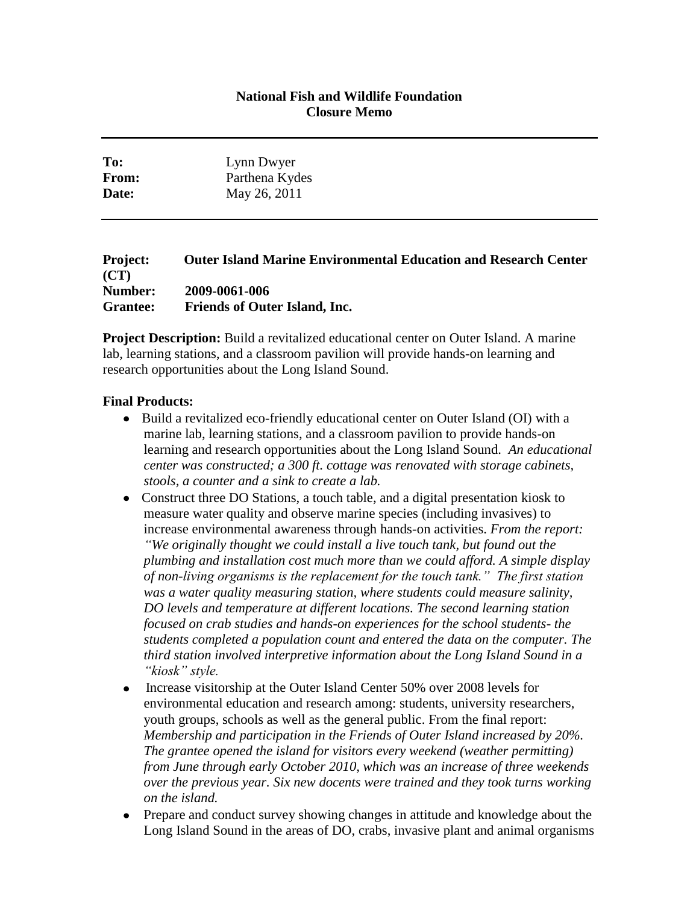## **National Fish and Wildlife Foundation Closure Memo**

| To:   | Lynn Dwyer     |
|-------|----------------|
| From: | Parthena Kydes |
| Date: | May 26, 2011   |

## **Project: Outer Island Marine Environmental Education and Research Center (CT) Number: 2009-0061-006 Grantee: Friends of Outer Island, Inc.**

**Project Description:** Build a revitalized educational center on Outer Island. A marine lab, learning stations, and a classroom pavilion will provide hands-on learning and research opportunities about the Long Island Sound.

## **Final Products:**

- Build a revitalized eco-friendly educational center on Outer Island (OI) with a marine lab, learning stations, and a classroom pavilion to provide hands-on learning and research opportunities about the Long Island Sound. *An educational center was constructed; a 300 ft. cottage was renovated with storage cabinets, stools, a counter and a sink to create a lab.*
- Construct three DO Stations, a touch table, and a digital presentation kiosk to measure water quality and observe marine species (including invasives) to increase environmental awareness through hands-on activities. *From the report: "We originally thought we could install a live touch tank, but found out the plumbing and installation cost much more than we could afford. A simple display of non-living organisms is the replacement for the touch tank." The first station was a water quality measuring station, where students could measure salinity, DO levels and temperature at different locations. The second learning station focused on crab studies and hands-on experiences for the school students- the students completed a population count and entered the data on the computer. The third station involved interpretive information about the Long Island Sound in a "kiosk" style.*
- Increase visitorship at the Outer Island Center 50% over 2008 levels for environmental education and research among: students, university researchers, youth groups, schools as well as the general public. From the final report: *Membership and participation in the Friends of Outer Island increased by 20%. The grantee opened the island for visitors every weekend (weather permitting) from June through early October 2010, which was an increase of three weekends over the previous year. Six new docents were trained and they took turns working on the island.*
- Prepare and conduct survey showing changes in attitude and knowledge about the Long Island Sound in the areas of DO, crabs, invasive plant and animal organisms